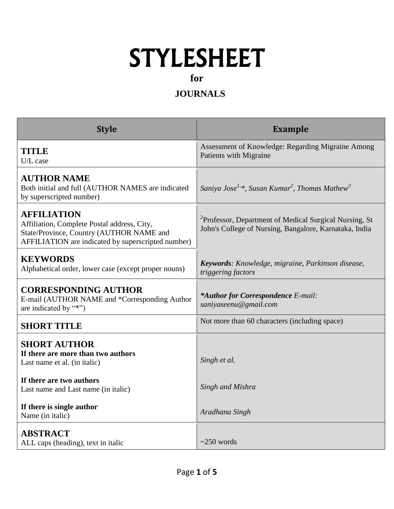## STYLESHEET

**for**

## **JOURNALS**

| <b>Style</b>                                                                                                                                                        | <b>Example</b>                                                                                                               |  |  |  |
|---------------------------------------------------------------------------------------------------------------------------------------------------------------------|------------------------------------------------------------------------------------------------------------------------------|--|--|--|
| <b>TITLE</b><br>U/L case                                                                                                                                            | Assessment of Knowledge: Regarding Migraine Among<br>Patients with Migraine                                                  |  |  |  |
| <b>AUTHOR NAME</b><br>Both initial and full (AUTHOR NAMES are indicated<br>by superscripted number)                                                                 | Saniya Jose <sup>1,*</sup> , Susan Kumar <sup>2</sup> , Thomas Mathew <sup>3</sup>                                           |  |  |  |
| <b>AFFILIATION</b><br>Affiliation, Complete Postal address, City,<br>State/Province, Country (AUTHOR NAME and<br>AFFILIATION are indicated by superscripted number) | <sup>2</sup> Professor, Department of Medical Surgical Nursing, St<br>John's College of Nursing, Bangalore, Karnataka, India |  |  |  |
| <b>KEYWORDS</b><br>Alphabetical order, lower case (except proper nouns)                                                                                             | Keywords: Knowledge, migraine, Parkinson disease,<br>triggering factors                                                      |  |  |  |
| <b>CORRESPONDING AUTHOR</b><br>E-mail (AUTHOR NAME and *Corresponding Author<br>are indicated by "*")                                                               | *Author for Correspondence E-mail:<br>saniyaseenu@gmail.com                                                                  |  |  |  |
| <b>SHORT TITLE</b>                                                                                                                                                  | Not more than 60 characters (including space)                                                                                |  |  |  |
| <b>SHORT AUTHOR</b><br>If there are more than two authors<br>Last name et al. (in italic)<br>If there are two authors                                               | Singh et al.<br>Singh and Mishra                                                                                             |  |  |  |
| Last name and Last name (in italic)<br>If there is single author<br>Name (in italic)                                                                                | Aradhana Singh                                                                                                               |  |  |  |
| <b>ABSTRACT</b><br>ALL caps (heading), text in italic                                                                                                               | $\approx$ 250 words                                                                                                          |  |  |  |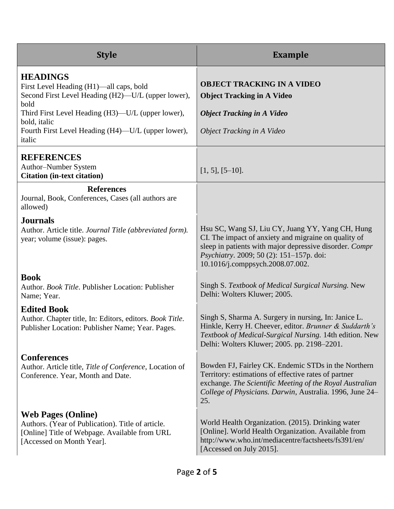| <b>Style</b>                                                                                                                                                                                                                                                  | <b>Example</b>                                                                                                                                                                                                                                      |
|---------------------------------------------------------------------------------------------------------------------------------------------------------------------------------------------------------------------------------------------------------------|-----------------------------------------------------------------------------------------------------------------------------------------------------------------------------------------------------------------------------------------------------|
| <b>HEADINGS</b><br>First Level Heading (H1)—all caps, bold<br>Second First Level Heading (H2)-U/L (upper lower),<br>bold<br>Third First Level Heading (H3)—U/L (upper lower),<br>bold, italic<br>Fourth First Level Heading (H4)—U/L (upper lower),<br>italic | <b>OBJECT TRACKING IN A VIDEO</b><br><b>Object Tracking in A Video</b><br><b>Object Tracking in A Video</b><br>Object Tracking in A Video                                                                                                           |
| <b>REFERENCES</b><br>Author-Number System<br><b>Citation (in-text citation)</b>                                                                                                                                                                               | $[1, 5], [5 - 10].$                                                                                                                                                                                                                                 |
| <b>References</b><br>Journal, Book, Conferences, Cases (all authors are<br>allowed)                                                                                                                                                                           |                                                                                                                                                                                                                                                     |
| <b>Journals</b><br>Author. Article title. Journal Title (abbreviated form).<br>year; volume (issue): pages.                                                                                                                                                   | Hsu SC, Wang SJ, Liu CY, Juang YY, Yang CH, Hung<br>CI. The impact of anxiety and migraine on quality of<br>sleep in patients with major depressive disorder. Compr<br>Psychiatry. 2009; 50 (2): 151-157p. doi:<br>10.1016/j.comppsych.2008.07.002. |
| <b>Book</b><br>Author. Book Title. Publisher Location: Publisher<br>Name; Year.                                                                                                                                                                               | Singh S. Textbook of Medical Surgical Nursing. New<br>Delhi: Wolters Kluwer; 2005.                                                                                                                                                                  |
| <b>Edited Book</b><br>Author. Chapter title, In: Editors, editors. Book Title.<br>Publisher Location: Publisher Name; Year. Pages.                                                                                                                            | Singh S, Sharma A. Surgery in nursing, In: Janice L.<br>Hinkle, Kerry H. Cheever, editor. Brunner & Suddarth's<br>Textbook of Medical-Surgical Nursing. 14th edition. New<br>Delhi: Wolters Kluwer; 2005. pp. 2198–2201.                            |
| <b>Conferences</b><br>Author. Article title, Title of Conference, Location of<br>Conference. Year, Month and Date.                                                                                                                                            | Bowden FJ, Fairley CK. Endemic STDs in the Northern<br>Territory: estimations of effective rates of partner<br>exchange. The Scientific Meeting of the Royal Australian<br>College of Physicians. Darwin, Australia. 1996, June 24–<br>25.          |
| <b>Web Pages (Online)</b><br>Authors. (Year of Publication). Title of article.<br>[Online] Title of Webpage. Available from URL<br>[Accessed on Month Year].                                                                                                  | World Health Organization. (2015). Drinking water<br>[Online]. World Health Organization. Available from<br>http://www.who.int/mediacentre/factsheets/fs391/en/<br>[Accessed on July 2015].                                                         |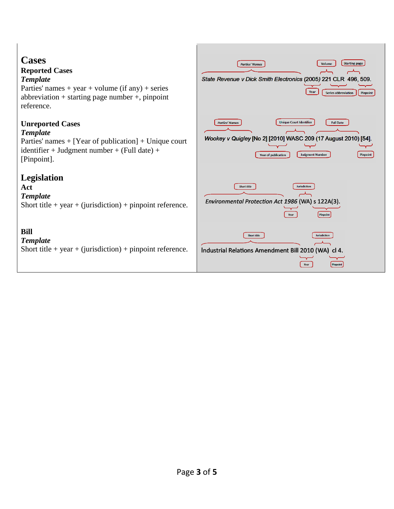| <b>Cases</b><br><b>Reported Cases</b><br><b>Template</b><br>Parties' names + year + volume (if any) + series<br>abbreviation + starting page number +, pinpoint<br>reference. | <b>Starting page</b><br>Volume<br><b>Parties' Names</b><br>State Revenue v Dick Smith Electronics (2005) 221 CLR 496, 509.<br>Year<br><b>Series abbreviation</b><br>Pinpoint                                      |
|-------------------------------------------------------------------------------------------------------------------------------------------------------------------------------|-------------------------------------------------------------------------------------------------------------------------------------------------------------------------------------------------------------------|
| <b>Unreported Cases</b><br><b>Template</b><br>Parties' names $+$ [Year of publication] $+$ Unique court<br>identifier + Judgment number + (Full date) +<br>[Pinpoint].        | <b>Unique Court Identifier</b><br><b>Full Date</b><br><b>Parties' Names</b><br>Wookey v Quigley [No 2] [2010] WASC 209 (17 August 2010) [54].<br><b>Judgment Number</b><br>Pinpoint<br><b>Year of publication</b> |
| <b>Legislation</b><br>Act<br><b>Template</b><br>Short title + year + (jurisdiction) + pinpoint reference.                                                                     | <b>Jurisdiction</b><br><b>Short title</b><br>Environmental Protection Act 1986 (WA) s 122A(3).<br>Pinpoint<br>Year                                                                                                |
| <b>Bill</b><br><b>Template</b><br>Short title + year + (jurisdiction) + pinpoint reference.                                                                                   | <b>Short title</b><br>Jurisdiction<br>Industrial Relations Amendment Bill 2010 (WA) cl 4.<br>Year                                                                                                                 |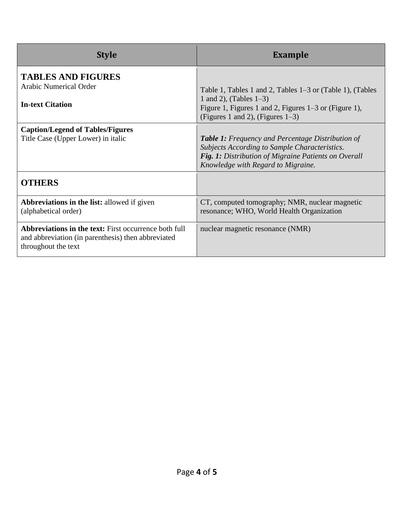| <b>Style</b>                                                                                                                              | <b>Example</b>                                                                                                                                                                                          |  |  |  |
|-------------------------------------------------------------------------------------------------------------------------------------------|---------------------------------------------------------------------------------------------------------------------------------------------------------------------------------------------------------|--|--|--|
| <b>TABLES AND FIGURES</b><br><b>Arabic Numerical Order</b><br><b>In-text Citation</b>                                                     | Table 1, Tables 1 and 2, Tables 1–3 or (Table 1), (Tables<br>1 and 2), (Tables $1-3$ )<br>Figure 1, Figures 1 and 2, Figures 1–3 or (Figure 1),<br>(Figures 1 and 2), (Figures $1-3$ )                  |  |  |  |
| <b>Caption/Legend of Tables/Figures</b><br>Title Case (Upper Lower) in italic                                                             | <b>Table 1:</b> Frequency and Percentage Distribution of<br>Subjects According to Sample Characteristics.<br>Fig. 1: Distribution of Migraine Patients on Overall<br>Knowledge with Regard to Migraine. |  |  |  |
| <b>OTHERS</b>                                                                                                                             |                                                                                                                                                                                                         |  |  |  |
| <b>Abbreviations in the list: allowed if given</b><br>(alphabetical order)                                                                | CT, computed tomography; NMR, nuclear magnetic<br>resonance; WHO, World Health Organization                                                                                                             |  |  |  |
| <b>Abbreviations in the text:</b> First occurrence both full<br>and abbreviation (in parenthesis) then abbreviated<br>throughout the text | nuclear magnetic resonance (NMR)                                                                                                                                                                        |  |  |  |